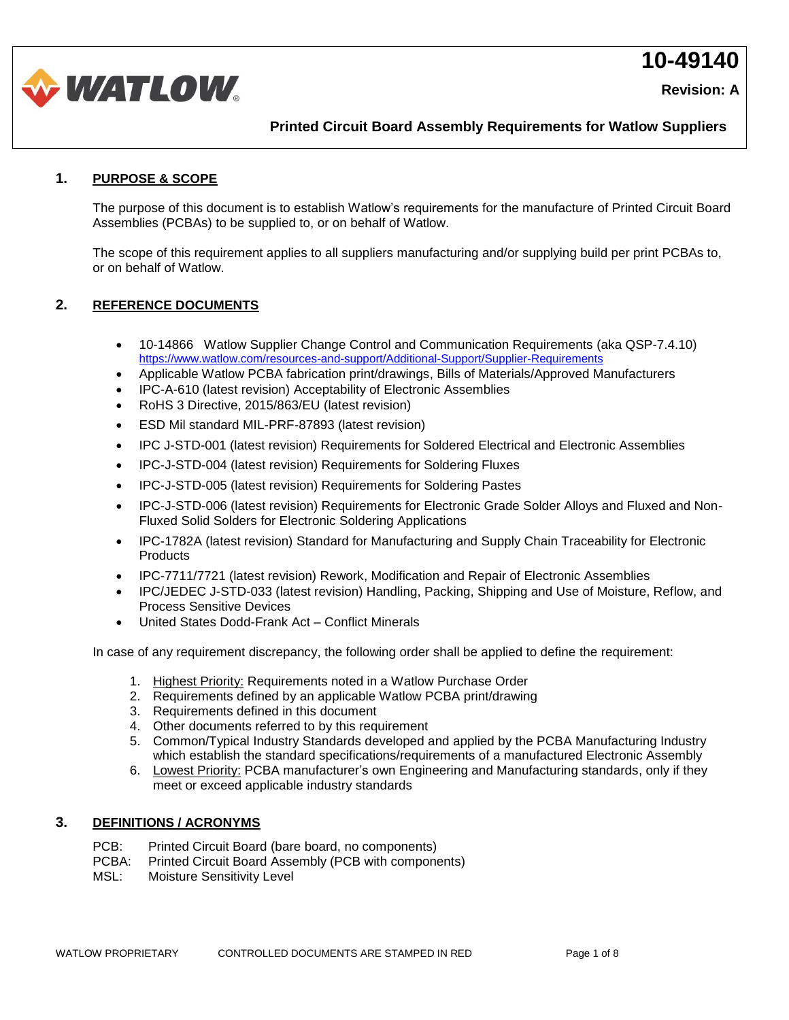



**Printed Circuit Board Assembly Requirements for Watlow Suppliers**

### **1. PURPOSE & SCOPE**

The purpose of this document is to establish Watlow's requirements for the manufacture of Printed Circuit Board Assemblies (PCBAs) to be supplied to, or on behalf of Watlow.

The scope of this requirement applies to all suppliers manufacturing and/or supplying build per print PCBAs to, or on behalf of Watlow.

### **2. REFERENCE DOCUMENTS**

- 10-14866 Watlow Supplier Change Control and Communication Requirements (aka QSP-7.4.10) <https://www.watlow.com/resources-and-support/Additional-Support/Supplier-Requirements>
- Applicable Watlow PCBA fabrication print/drawings, Bills of Materials/Approved Manufacturers
- IPC-A-610 (latest revision) Acceptability of Electronic Assemblies
- RoHS 3 Directive, 2015/863/EU (latest revision)
- ESD Mil standard MIL-PRF-87893 (latest revision)
- IPC J-STD-001 (latest revision) Requirements for Soldered Electrical and Electronic Assemblies
- IPC-J-STD-004 (latest revision) Requirements for Soldering Fluxes
- IPC-J-STD-005 (latest revision) Requirements for Soldering Pastes
- IPC-J-STD-006 (latest revision) Requirements for Electronic Grade Solder Alloys and Fluxed and Non-Fluxed Solid Solders for Electronic Soldering Applications
- IPC-1782A (latest revision) Standard for Manufacturing and Supply Chain Traceability for Electronic **Products**
- IPC-7711/7721 (latest revision) Rework, Modification and Repair of Electronic Assemblies
- IPC/JEDEC J-STD-033 (latest revision) Handling, Packing, Shipping and Use of Moisture, Reflow, and Process Sensitive Devices
- United States Dodd-Frank Act Conflict Minerals

In case of any requirement discrepancy, the following order shall be applied to define the requirement:

- 1. Highest Priority: Requirements noted in a Watlow Purchase Order
- 2. Requirements defined by an applicable Watlow PCBA print/drawing
- 3. Requirements defined in this document
- 4. Other documents referred to by this requirement
- 5. Common/Typical Industry Standards developed and applied by the PCBA Manufacturing Industry which establish the standard specifications/requirements of a manufactured Electronic Assembly
- 6. Lowest Priority: PCBA manufacturer's own Engineering and Manufacturing standards, only if they meet or exceed applicable industry standards

### **3. DEFINITIONS / ACRONYMS**

- PCB: Printed Circuit Board (bare board, no components)
- PCBA: Printed Circuit Board Assembly (PCB with components)
- MSL: Moisture Sensitivity Level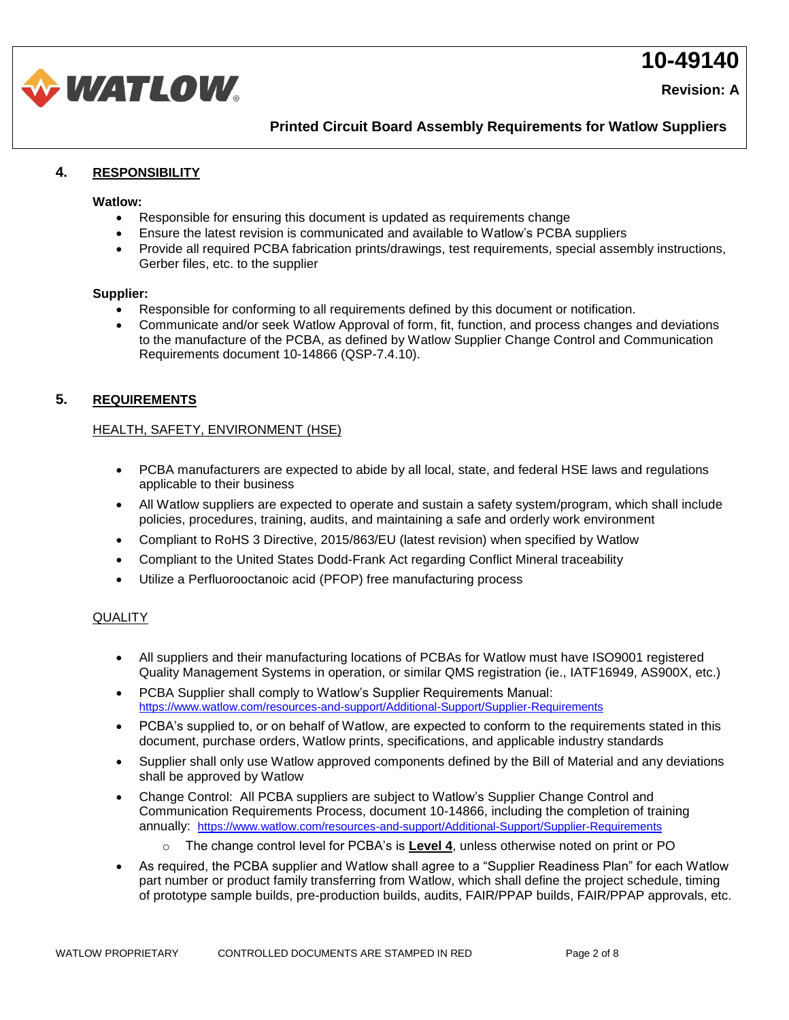**Revision: A** 



**Printed Circuit Board Assembly Requirements for Watlow Suppliers**

### **4. RESPONSIBILITY**

#### **Watlow:**

- Responsible for ensuring this document is updated as requirements change
- Ensure the latest revision is communicated and available to Watlow's PCBA suppliers
- Provide all required PCBA fabrication prints/drawings, test requirements, special assembly instructions, Gerber files, etc. to the supplier

### **Supplier:**

- Responsible for conforming to all requirements defined by this document or notification.
- Communicate and/or seek Watlow Approval of form, fit, function, and process changes and deviations to the manufacture of the PCBA, as defined by Watlow Supplier Change Control and Communication Requirements document 10-14866 (QSP-7.4.10).

### **5. REQUIREMENTS**

### HEALTH, SAFETY, ENVIRONMENT (HSE)

- PCBA manufacturers are expected to abide by all local, state, and federal HSE laws and regulations applicable to their business
- All Watlow suppliers are expected to operate and sustain a safety system/program, which shall include policies, procedures, training, audits, and maintaining a safe and orderly work environment
- Compliant to RoHS 3 Directive, 2015/863/EU (latest revision) when specified by Watlow
- Compliant to the United States Dodd-Frank Act regarding Conflict Mineral traceability
- Utilize a Perfluorooctanoic acid (PFOP) free manufacturing process

### **QUALITY**

- All suppliers and their manufacturing locations of PCBAs for Watlow must have ISO9001 registered Quality Management Systems in operation, or similar QMS registration (ie., IATF16949, AS900X, etc.)
- PCBA Supplier shall comply to Watlow's Supplier Requirements Manual: <https://www.watlow.com/resources-and-support/Additional-Support/Supplier-Requirements>
- PCBA's supplied to, or on behalf of Watlow, are expected to conform to the requirements stated in this document, purchase orders, Watlow prints, specifications, and applicable industry standards
- Supplier shall only use Watlow approved components defined by the Bill of Material and any deviations shall be approved by Watlow
- Change Control: All PCBA suppliers are subject to Watlow's Supplier Change Control and Communication Requirements Process, document 10-14866, including the completion of training annually: <https://www.watlow.com/resources-and-support/Additional-Support/Supplier-Requirements>
	- o The change control level for PCBA's is **Level 4**, unless otherwise noted on print or PO
- As required, the PCBA supplier and Watlow shall agree to a "Supplier Readiness Plan" for each Watlow part number or product family transferring from Watlow, which shall define the project schedule, timing of prototype sample builds, pre-production builds, audits, FAIR/PPAP builds, FAIR/PPAP approvals, etc.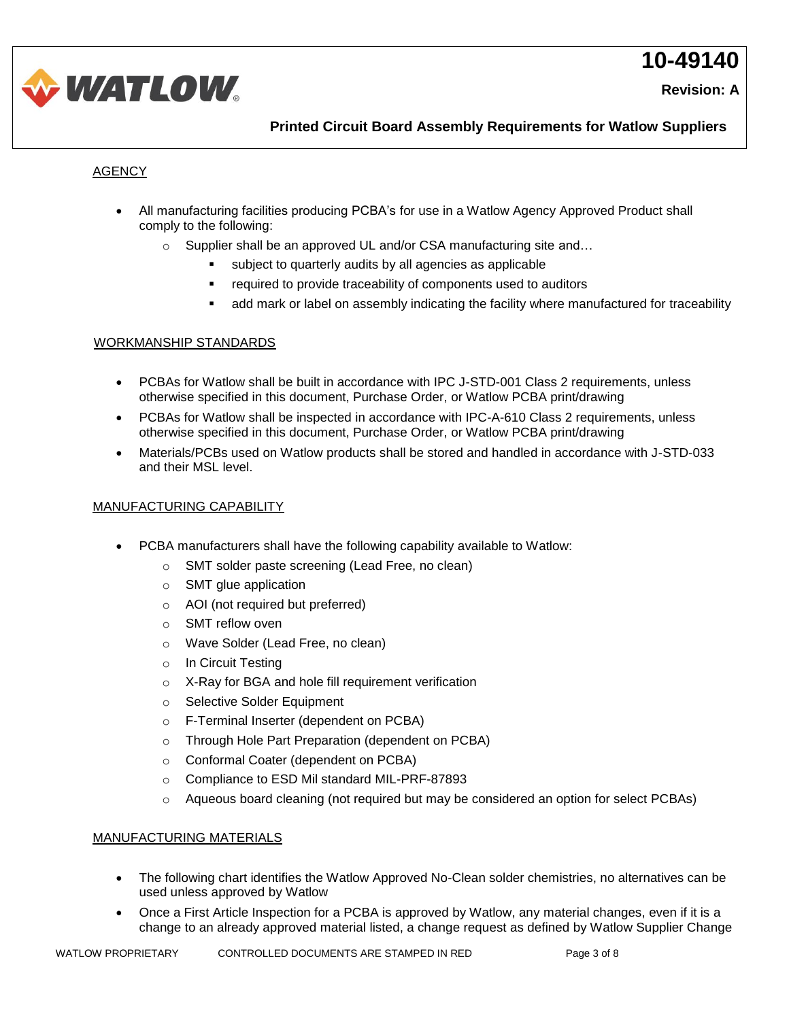



**Printed Circuit Board Assembly Requirements for Watlow Suppliers**

### **AGENCY**

- All manufacturing facilities producing PCBA's for use in a Watlow Agency Approved Product shall comply to the following:
	- $\circ$  Supplier shall be an approved UL and/or CSA manufacturing site and...
		- subject to quarterly audits by all agencies as applicable
		- required to provide traceability of components used to auditors
		- add mark or label on assembly indicating the facility where manufactured for traceability

### WORKMANSHIP STANDARDS

- PCBAs for Watlow shall be built in accordance with IPC J-STD-001 Class 2 requirements, unless otherwise specified in this document, Purchase Order, or Watlow PCBA print/drawing
- PCBAs for Watlow shall be inspected in accordance with IPC-A-610 Class 2 requirements, unless otherwise specified in this document, Purchase Order, or Watlow PCBA print/drawing
- Materials/PCBs used on Watlow products shall be stored and handled in accordance with J-STD-033 and their MSL level.

### MANUFACTURING CAPABILITY

- PCBA manufacturers shall have the following capability available to Watlow:
	- o SMT solder paste screening (Lead Free, no clean)
	- o SMT glue application
	- o AOI (not required but preferred)
	- o SMT reflow oven
	- o Wave Solder (Lead Free, no clean)
	- o In Circuit Testing
	- o X-Ray for BGA and hole fill requirement verification
	- o Selective Solder Equipment
	- o F-Terminal Inserter (dependent on PCBA)
	- o Through Hole Part Preparation (dependent on PCBA)
	- o Conformal Coater (dependent on PCBA)
	- o Compliance to ESD Mil standard MIL-PRF-87893
	- o Aqueous board cleaning (not required but may be considered an option for select PCBAs)

### MANUFACTURING MATERIALS

- The following chart identifies the Watlow Approved No-Clean solder chemistries, no alternatives can be used unless approved by Watlow
- Once a First Article Inspection for a PCBA is approved by Watlow, any material changes, even if it is a change to an already approved material listed, a change request as defined by Watlow Supplier Change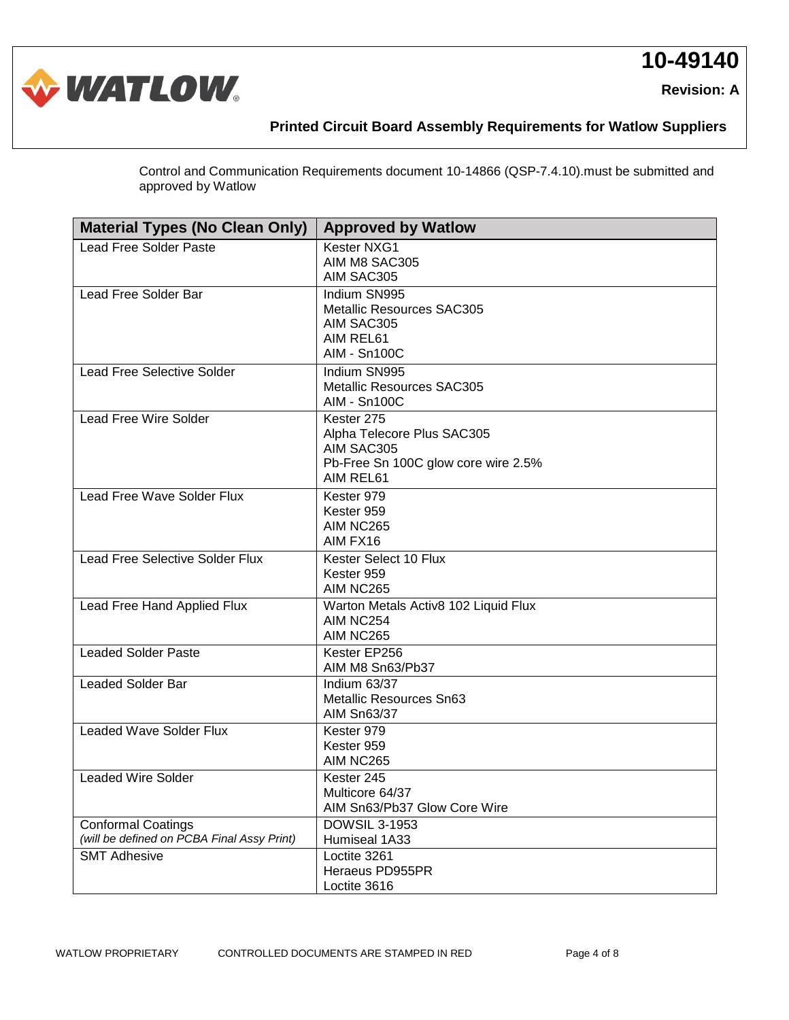



## **Printed Circuit Board Assembly Requirements for Watlow Suppliers**

Control and Communication Requirements document 10-14866 (QSP-7.4.10).must be submitted and approved by Watlow

| <b>Material Types (No Clean Only)</b>                                   | <b>Approved by Watlow</b>                                                                                  |  |
|-------------------------------------------------------------------------|------------------------------------------------------------------------------------------------------------|--|
| <b>Lead Free Solder Paste</b>                                           | Kester NXG1<br>AIM M8 SAC305<br>AIM SAC305                                                                 |  |
| Lead Free Solder Bar                                                    | Indium SN995<br><b>Metallic Resources SAC305</b><br>AIM SAC305<br>AIM REL61<br><b>AIM - Sn100C</b>         |  |
| <b>Lead Free Selective Solder</b>                                       | Indium SN995<br><b>Metallic Resources SAC305</b><br><b>AIM - Sn100C</b>                                    |  |
| <b>Lead Free Wire Solder</b>                                            | Kester 275<br>Alpha Telecore Plus SAC305<br>AIM SAC305<br>Pb-Free Sn 100C glow core wire 2.5%<br>AIM REL61 |  |
| Lead Free Wave Solder Flux                                              | Kester 979<br>Kester 959<br>AIM NC265<br>AIM FX16                                                          |  |
| <b>Lead Free Selective Solder Flux</b>                                  | Kester Select 10 Flux<br>Kester 959<br>AIM NC265                                                           |  |
| Lead Free Hand Applied Flux                                             | Warton Metals Activ8 102 Liquid Flux<br>AIM NC254<br>AIM NC265                                             |  |
| <b>Leaded Solder Paste</b>                                              | Kester EP256<br>AIM M8 Sn63/Pb37                                                                           |  |
| <b>Leaded Solder Bar</b>                                                | Indium 63/37<br><b>Metallic Resources Sn63</b><br><b>AIM Sn63/37</b>                                       |  |
| <b>Leaded Wave Solder Flux</b>                                          | Kester 979<br>Kester 959<br>AIM NC265                                                                      |  |
| <b>Leaded Wire Solder</b>                                               | Kester 245<br>Multicore 64/37<br>AIM Sn63/Pb37 Glow Core Wire                                              |  |
| <b>Conformal Coatings</b><br>(will be defined on PCBA Final Assy Print) | <b>DOWSIL 3-1953</b><br>Humiseal 1A33                                                                      |  |
| <b>SMT Adhesive</b>                                                     | Loctite 3261<br>Heraeus PD955PR<br>Loctite 3616                                                            |  |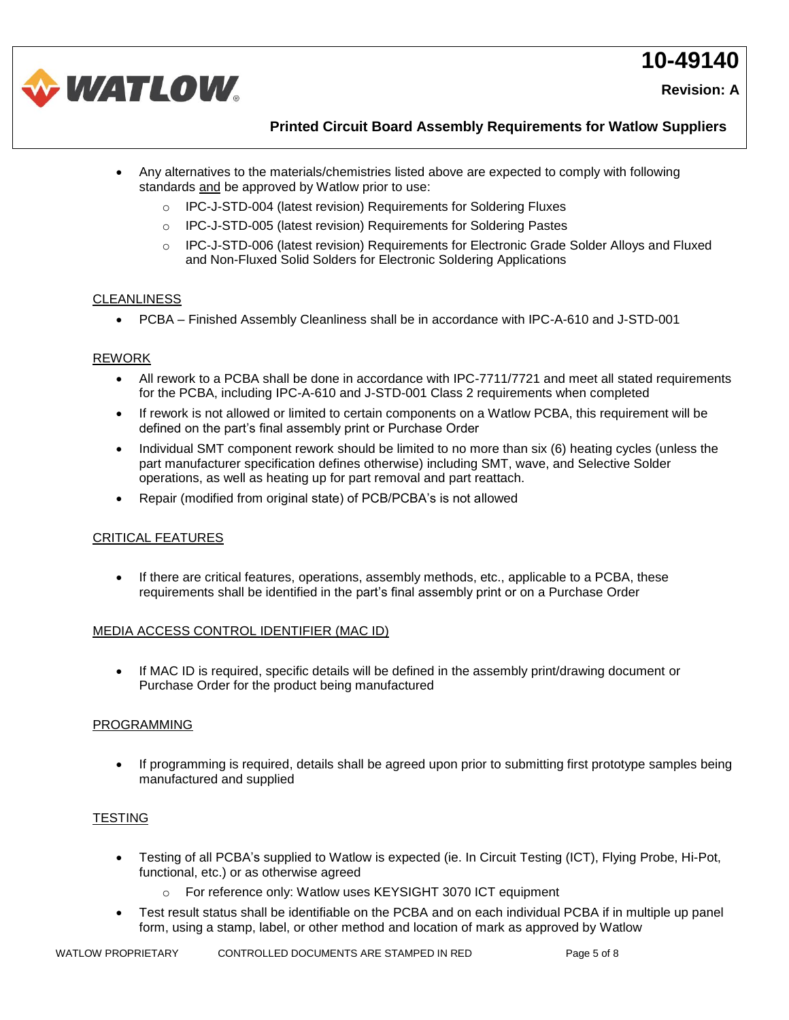**Revision: A** 



**Printed Circuit Board Assembly Requirements for Watlow Suppliers**

- Any alternatives to the materials/chemistries listed above are expected to comply with following standards and be approved by Watlow prior to use:
	- o IPC-J-STD-004 (latest revision) Requirements for Soldering Fluxes
	- o IPC-J-STD-005 (latest revision) Requirements for Soldering Pastes
	- o IPC-J-STD-006 (latest revision) Requirements for Electronic Grade Solder Alloys and Fluxed and Non-Fluxed Solid Solders for Electronic Soldering Applications

### CLEANLINESS

• PCBA – Finished Assembly Cleanliness shall be in accordance with IPC-A-610 and J-STD-001

### REWORK

- All rework to a PCBA shall be done in accordance with IPC-7711/7721 and meet all stated requirements for the PCBA, including IPC-A-610 and J-STD-001 Class 2 requirements when completed
- If rework is not allowed or limited to certain components on a Watlow PCBA, this requirement will be defined on the part's final assembly print or Purchase Order
- Individual SMT component rework should be limited to no more than six (6) heating cycles (unless the part manufacturer specification defines otherwise) including SMT, wave, and Selective Solder operations, as well as heating up for part removal and part reattach.
- Repair (modified from original state) of PCB/PCBA's is not allowed

### CRITICAL FEATURES

• If there are critical features, operations, assembly methods, etc., applicable to a PCBA, these requirements shall be identified in the part's final assembly print or on a Purchase Order

### MEDIA ACCESS CONTROL IDENTIFIER (MAC ID)

• If MAC ID is required, specific details will be defined in the assembly print/drawing document or Purchase Order for the product being manufactured

### PROGRAMMING

• If programming is required, details shall be agreed upon prior to submitting first prototype samples being manufactured and supplied

### **TESTING**

- Testing of all PCBA's supplied to Watlow is expected (ie. In Circuit Testing (ICT), Flying Probe, Hi-Pot, functional, etc.) or as otherwise agreed
	- o For reference only: Watlow uses KEYSIGHT 3070 ICT equipment
- Test result status shall be identifiable on the PCBA and on each individual PCBA if in multiple up panel form, using a stamp, label, or other method and location of mark as approved by Watlow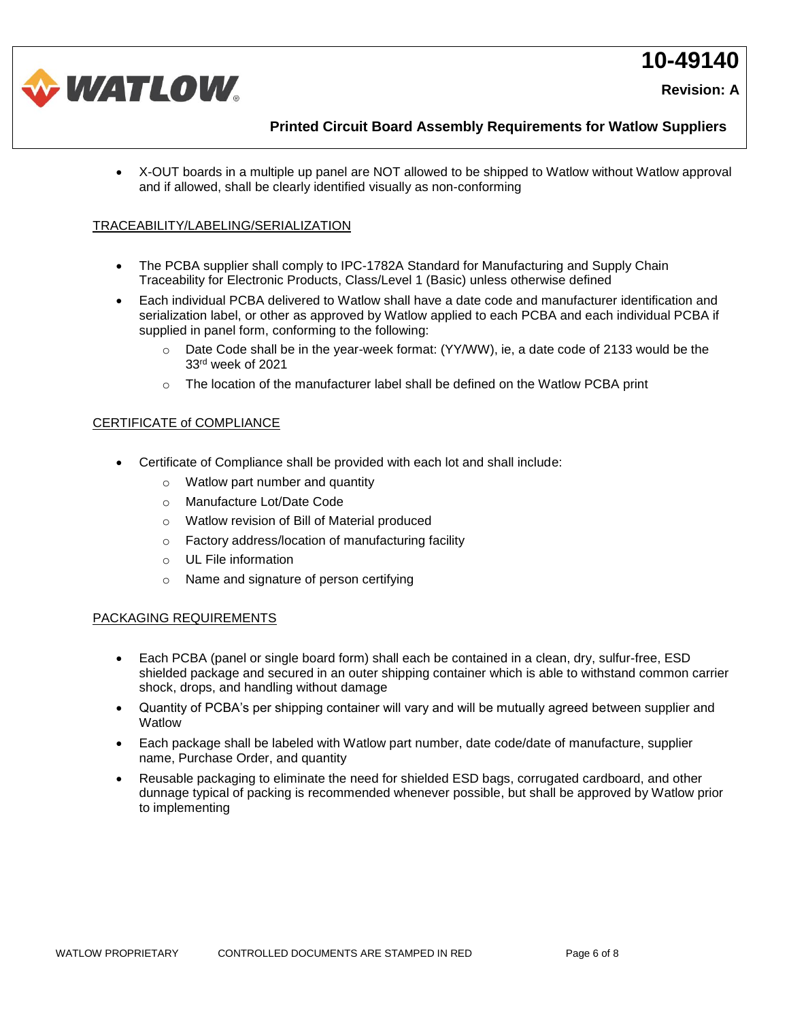**Revision: A** 



**Printed Circuit Board Assembly Requirements for Watlow Suppliers**

• X-OUT boards in a multiple up panel are NOT allowed to be shipped to Watlow without Watlow approval and if allowed, shall be clearly identified visually as non-conforming

### TRACEABILITY/LABELING/SERIALIZATION

- The PCBA supplier shall comply to IPC-1782A Standard for Manufacturing and Supply Chain Traceability for Electronic Products, Class/Level 1 (Basic) unless otherwise defined
- Each individual PCBA delivered to Watlow shall have a date code and manufacturer identification and serialization label, or other as approved by Watlow applied to each PCBA and each individual PCBA if supplied in panel form, conforming to the following:
	- o Date Code shall be in the year-week format: (YY/WW), ie, a date code of 2133 would be the 33rd week of 2021
	- $\circ$  The location of the manufacturer label shall be defined on the Watlow PCBA print

### CERTIFICATE of COMPLIANCE

- Certificate of Compliance shall be provided with each lot and shall include:
	- o Watlow part number and quantity
	- o Manufacture Lot/Date Code
	- o Watlow revision of Bill of Material produced
	- o Factory address/location of manufacturing facility
	- o UL File information
	- o Name and signature of person certifying

#### PACKAGING REQUIREMENTS

- Each PCBA (panel or single board form) shall each be contained in a clean, dry, sulfur-free, ESD shielded package and secured in an outer shipping container which is able to withstand common carrier shock, drops, and handling without damage
- Quantity of PCBA's per shipping container will vary and will be mutually agreed between supplier and **Watlow**
- Each package shall be labeled with Watlow part number, date code/date of manufacture, supplier name, Purchase Order, and quantity
- Reusable packaging to eliminate the need for shielded ESD bags, corrugated cardboard, and other dunnage typical of packing is recommended whenever possible, but shall be approved by Watlow prior to implementing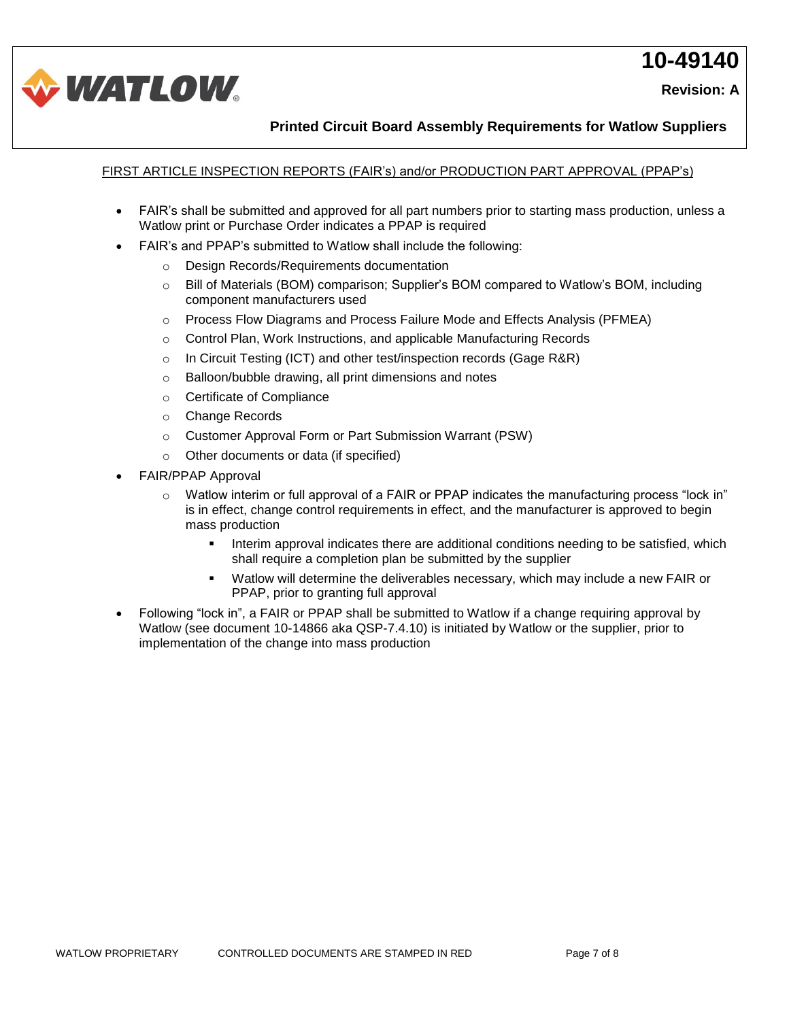



**Printed Circuit Board Assembly Requirements for Watlow Suppliers**

## FIRST ARTICLE INSPECTION REPORTS (FAIR's) and/or PRODUCTION PART APPROVAL (PPAP's)

- FAIR's shall be submitted and approved for all part numbers prior to starting mass production, unless a Watlow print or Purchase Order indicates a PPAP is required
- FAIR's and PPAP's submitted to Watlow shall include the following:
	- o Design Records/Requirements documentation
	- o Bill of Materials (BOM) comparison; Supplier's BOM compared to Watlow's BOM, including component manufacturers used
	- o Process Flow Diagrams and Process Failure Mode and Effects Analysis (PFMEA)
	- o Control Plan, Work Instructions, and applicable Manufacturing Records
	- $\circ$  In Circuit Testing (ICT) and other test/inspection records (Gage R&R)
	- o Balloon/bubble drawing, all print dimensions and notes
	- o Certificate of Compliance
	- o Change Records
	- o Customer Approval Form or Part Submission Warrant (PSW)
	- o Other documents or data (if specified)
- FAIR/PPAP Approval
	- o Watlow interim or full approval of a FAIR or PPAP indicates the manufacturing process "lock in" is in effect, change control requirements in effect, and the manufacturer is approved to begin mass production
		- Interim approval indicates there are additional conditions needing to be satisfied, which shall require a completion plan be submitted by the supplier
		- Watlow will determine the deliverables necessary, which may include a new FAIR or PPAP, prior to granting full approval
- Following "lock in", a FAIR or PPAP shall be submitted to Watlow if a change requiring approval by Watlow (see document 10-14866 aka QSP-7.4.10) is initiated by Watlow or the supplier, prior to implementation of the change into mass production